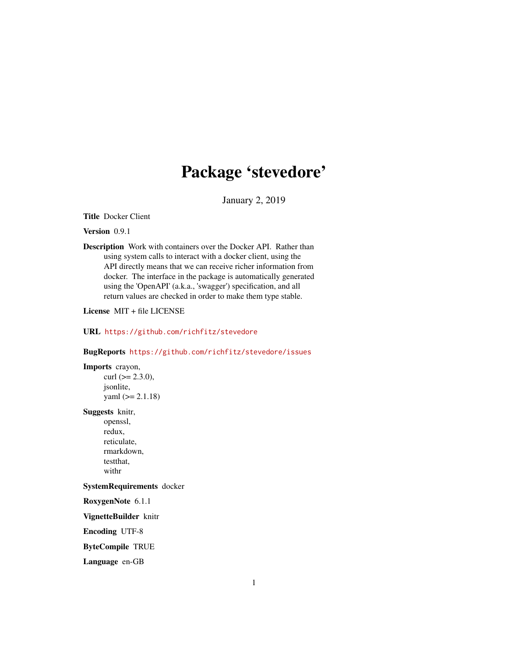## Package 'stevedore'

January 2, 2019

<span id="page-0-0"></span>Title Docker Client

Version 0.9.1

Description Work with containers over the Docker API. Rather than using system calls to interact with a docker client, using the API directly means that we can receive richer information from docker. The interface in the package is automatically generated using the 'OpenAPI' (a.k.a., 'swagger') specification, and all return values are checked in order to make them type stable.

License MIT + file LICENSE

URL <https://github.com/richfitz/stevedore>

## BugReports <https://github.com/richfitz/stevedore/issues>

Imports crayon,

curl  $(>= 2.3.0)$ , jsonlite,  $yaml$  ( $>= 2.1.18$ )

Suggests knitr,

openssl, redux, reticulate, rmarkdown, testthat, withr

#### SystemRequirements docker

RoxygenNote 6.1.1

VignetteBuilder knitr

Encoding UTF-8

ByteCompile TRUE

Language en-GB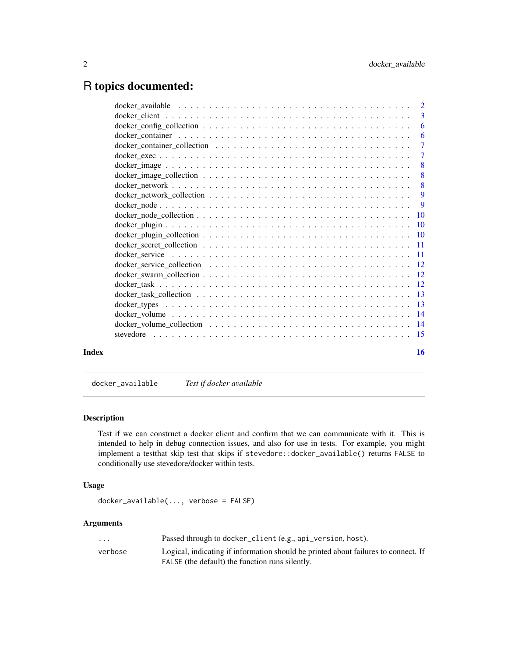## <span id="page-1-0"></span>R topics documented:

| -6                        |
|---------------------------|
| -6                        |
| $\overline{7}$            |
|                           |
|                           |
|                           |
| $\overline{\phantom{0}}8$ |
|                           |
|                           |
|                           |
|                           |
|                           |
|                           |
|                           |
|                           |
|                           |
|                           |
|                           |
|                           |
|                           |
|                           |
|                           |
|                           |
| 16                        |
|                           |

docker\_available *Test if docker available*

## Description

Test if we can construct a docker client and confirm that we can communicate with it. This is intended to help in debug connection issues, and also for use in tests. For example, you might implement a testthat skip test that skips if stevedore::docker\_available() returns FALSE to conditionally use stevedore/docker within tests.

#### Usage

```
docker_available(..., verbose = FALSE)
```
## Arguments

| $\cdot$ | Passed through to docker_client (e.g., api_version, host).                         |
|---------|------------------------------------------------------------------------------------|
| verbose | Logical, indicating if information should be printed about failures to connect. If |
|         | FALSE (the default) the function runs silently.                                    |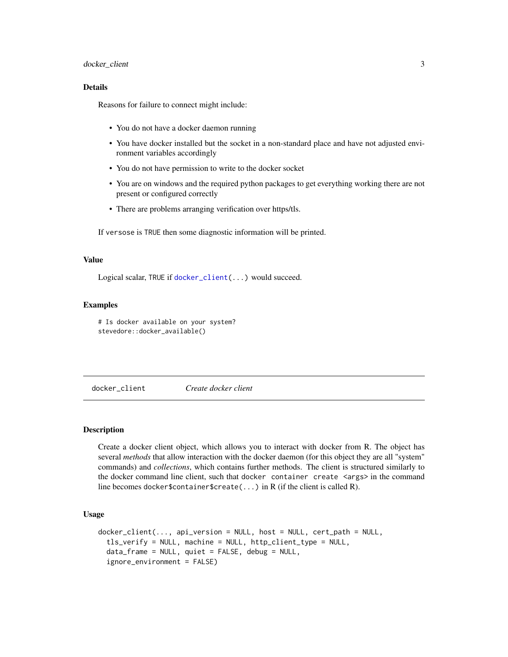## <span id="page-2-0"></span>docker\_client 3

## Details

Reasons for failure to connect might include:

- You do not have a docker daemon running
- You have docker installed but the socket in a non-standard place and have not adjusted environment variables accordingly
- You do not have permission to write to the docker socket
- You are on windows and the required python packages to get everything working there are not present or configured correctly
- There are problems arranging verification over https/tls.

If versose is TRUE then some diagnostic information will be printed.

## Value

Logical scalar, TRUE if [docker\\_client\(](#page-2-1)...) would succeed.

## Examples

# Is docker available on your system? stevedore::docker\_available()

<span id="page-2-1"></span>docker\_client *Create docker client*

## Description

Create a docker client object, which allows you to interact with docker from R. The object has several *methods* that allow interaction with the docker daemon (for this object they are all "system" commands) and *collections*, which contains further methods. The client is structured similarly to the docker command line client, such that docker container create <args> in the command line becomes docker\$container\$create(...) in R (if the client is called R).

#### Usage

```
doker_c client(..., api_version = NULL, host = NULL, cert_path = NULL,tls_verify = NULL, machine = NULL, http_client_type = NULL,
  data_frame = NULL, quiet = FALSE, debug = NULL,
  ignore_environment = FALSE)
```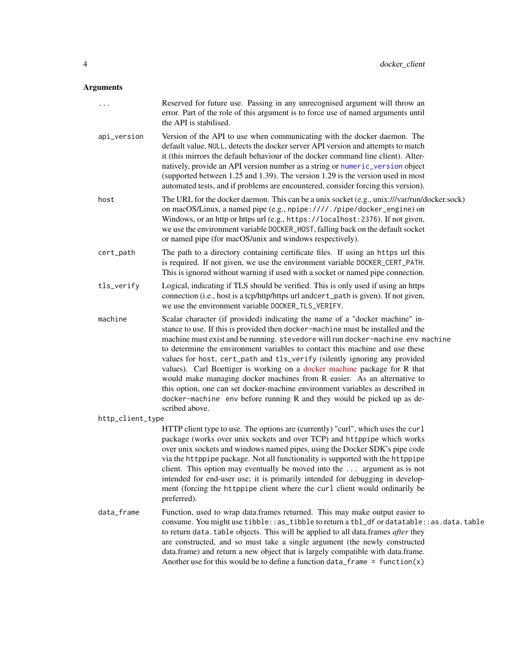## <span id="page-3-0"></span>Arguments

| $\cdots$         | Reserved for future use. Passing in any unrecognised argument will throw an<br>error. Part of the role of this argument is to force use of named arguments until<br>the API is stabilised.                                                                                                                                                                                                                                                                                                                                                                                                                                                                                                                                                             |  |  |  |  |
|------------------|--------------------------------------------------------------------------------------------------------------------------------------------------------------------------------------------------------------------------------------------------------------------------------------------------------------------------------------------------------------------------------------------------------------------------------------------------------------------------------------------------------------------------------------------------------------------------------------------------------------------------------------------------------------------------------------------------------------------------------------------------------|--|--|--|--|
| api_version      | Version of the API to use when communicating with the docker daemon. The<br>default value, NULL, detects the docker server API version and attempts to match<br>it (this mirrors the default behaviour of the docker command line client). Alter-<br>natively, provide an API version number as a string or numeric_version object<br>(supported between 1.25 and 1.39). The version 1.29 is the version used in most<br>automated tests, and if problems are encountered, consider forcing this version).                                                                                                                                                                                                                                             |  |  |  |  |
| host             | The URL for the docker daemon. This can be a unix socket (e.g., unix:///var/run/docker.sock)<br>on macOS/Linux, a named pipe (e.g., npipe:////./pipe/docker_engine) on<br>Windows, or an http or https url (e.g., https://localhost:2376). If not given,<br>we use the environment variable DOCKER_HOST, falling back on the default socket<br>or named pipe (for macOS/unix and windows respectively).                                                                                                                                                                                                                                                                                                                                                |  |  |  |  |
| cert_path        | The path to a directory containing certificate files. If using an https url this<br>is required. If not given, we use the environment variable DOCKER_CERT_PATH.<br>This is ignored without warning if used with a socket or named pipe connection.                                                                                                                                                                                                                                                                                                                                                                                                                                                                                                    |  |  |  |  |
| tls_verify       | Logical, indicating if TLS should be verified. This is only used if using an https<br>connection (i.e., host is a tcp/http/https url andcert_path is given). If not given,<br>we use the environment variable DOCKER_TLS_VERIFY.                                                                                                                                                                                                                                                                                                                                                                                                                                                                                                                       |  |  |  |  |
| machine          | Scalar character (if provided) indicating the name of a "docker machine" in-<br>stance to use. If this is provided then docker-machine must be installed and the<br>machine must exist and be running. stevedore will run docker-machine env machine<br>to determine the environment variables to contact this machine and use these<br>values for host, cert_path and tls_verify (silently ignoring any provided<br>values). Carl Boettiger is working on a docker machine package for R that<br>would make managing docker machines from R easier. As an alternative to<br>this option, one can set docker-machine environment variables as described in<br>docker-machine env before running R and they would be picked up as de-<br>scribed above. |  |  |  |  |
| http_client_type |                                                                                                                                                                                                                                                                                                                                                                                                                                                                                                                                                                                                                                                                                                                                                        |  |  |  |  |
|                  | HTTP client type to use. The options are (currently) "curl", which uses the curl<br>package (works over unix sockets and over TCP) and httppipe which works<br>over unix sockets and windows named pipes, using the Docker SDK's pipe code<br>via the httppipe package. Not all functionality is supported with the httppipe<br>client. This option may eventually be moved into the  argument as is not<br>intended for end-user use; it is primarily intended for debugging in develop-<br>ment (forcing the httppipe client where the curl client would ordinarily be<br>preferred).                                                                                                                                                                |  |  |  |  |
| data_frame       | Function, used to wrap data.frames returned. This may make output easier to<br>consume. You might use tibble: : as_tibble to return a tbl_df or datatable: : as.data.table<br>to return data. table objects. This will be applied to all data.frames after they<br>are constructed, and so must take a single argument (the newly constructed<br>data.frame) and return a new object that is largely compatible with data.frame.<br>Another use for this would be to define a function $data-frame = function(x)$                                                                                                                                                                                                                                      |  |  |  |  |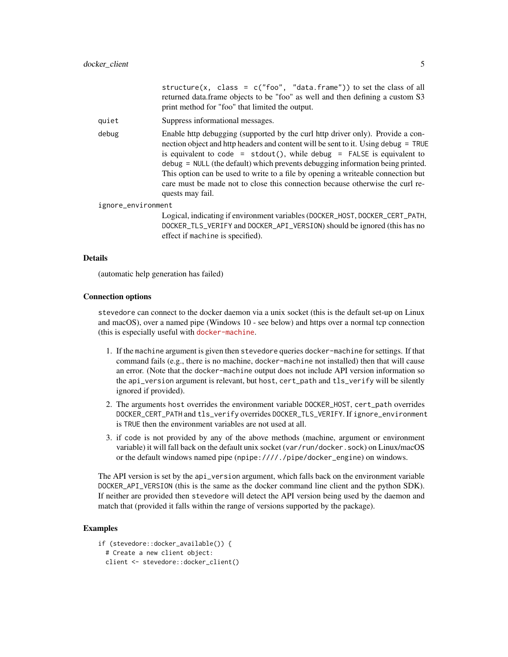|                    |       | structure(x, class = $c("foo", "data-frame"))$ to set the class of all<br>returned data.frame objects to be "foo" as well and then defining a custom S3<br>print method for "foo" that limited the output.                                                                                                                                                                                                                                                                                                                              |
|--------------------|-------|-----------------------------------------------------------------------------------------------------------------------------------------------------------------------------------------------------------------------------------------------------------------------------------------------------------------------------------------------------------------------------------------------------------------------------------------------------------------------------------------------------------------------------------------|
|                    | quiet | Suppress informational messages.                                                                                                                                                                                                                                                                                                                                                                                                                                                                                                        |
|                    | debug | Enable http debugging (supported by the curl http driver only). Provide a con-<br>nection object and http headers and content will be sent to it. Using debug = TRUE<br>is equivalent to code = $stdout()$ , while debug = $FALSE$ is equivalent to<br>$\delta$ debug = NULL (the default) which prevents debugging information being printed.<br>This option can be used to write to a file by opening a writeable connection but<br>care must be made not to close this connection because otherwise the curl re-<br>quests may fail. |
| ignore_environment |       |                                                                                                                                                                                                                                                                                                                                                                                                                                                                                                                                         |
|                    |       | Logical, indicating if environment variables (DOCKER_HOST, DOCKER_CERT_PATH,<br>DOCKER_TLS_VERIFY and DOCKER_API_VERSION) should be ignored (this has no<br>effect if machine is specified).                                                                                                                                                                                                                                                                                                                                            |

#### Details

(automatic help generation has failed)

#### Connection options

stevedore can connect to the docker daemon via a unix socket (this is the default set-up on Linux and macOS), over a named pipe (Windows 10 - see below) and https over a normal tcp connection (this is especially useful with [docker-machine](https://docs.docker.com/machine/).

- 1. If the machine argument is given then stevedore queries docker-machine for settings. If that command fails (e.g., there is no machine, docker-machine not installed) then that will cause an error. (Note that the docker-machine output does not include API version information so the api\_version argument is relevant, but host, cert\_path and tls\_verify will be silently ignored if provided).
- 2. The arguments host overrides the environment variable DOCKER\_HOST, cert\_path overrides DOCKER\_CERT\_PATH and tls\_verify overrides DOCKER\_TLS\_VERIFY. If ignore\_environment is TRUE then the environment variables are not used at all.
- 3. if code is not provided by any of the above methods (machine, argument or environment variable) it will fall back on the default unix socket (var/run/docker.sock) on Linux/macOS or the default windows named pipe (npipe:////./pipe/docker\_engine) on windows.

The API version is set by the api\_version argument, which falls back on the environment variable DOCKER\_API\_VERSION (this is the same as the docker command line client and the python SDK). If neither are provided then stevedore will detect the API version being used by the daemon and match that (provided it falls within the range of versions supported by the package).

## Examples

if (stevedore::docker\_available()) {

```
# Create a new client object:
```
client <- stevedore::docker\_client()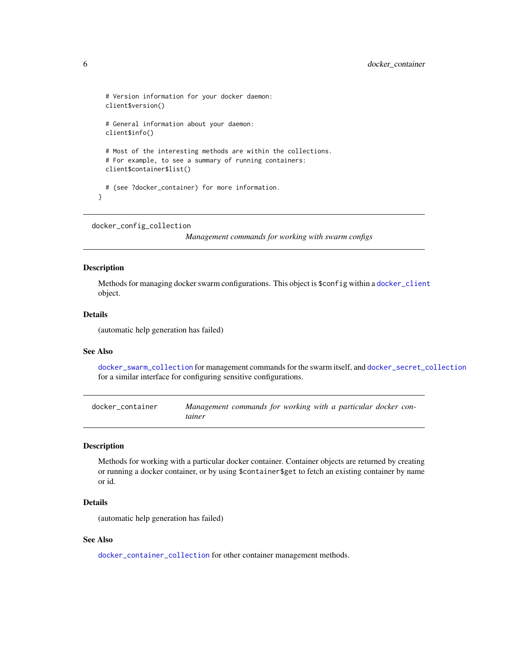```
# Version information for your docker daemon:
 client$version()
 # General information about your daemon:
 client$info()
 # Most of the interesting methods are within the collections.
 # For example, to see a summary of running containers:
 client$container$list()
 # (see ?docker_container) for more information.
}
```

```
docker_config_collection
```
*Management commands for working with swarm configs*

#### **Description**

Methods for managing docker swarm configurations. This object is \$config within a [docker\\_client](#page-2-1) object.

## Details

(automatic help generation has failed)

## See Also

[docker\\_swarm\\_collection](#page-11-1) for management commands for the swarm itself, and [docker\\_secret\\_collection](#page-10-1) for a similar interface for configuring sensitive configurations.

<span id="page-5-1"></span>docker\_container *Management commands for working with a particular docker container*

## Description

Methods for working with a particular docker container. Container objects are returned by creating or running a docker container, or by using \$container\$get to fetch an existing container by name or id.

## Details

(automatic help generation has failed)

#### See Also

[docker\\_container\\_collection](#page-6-1) for other container management methods.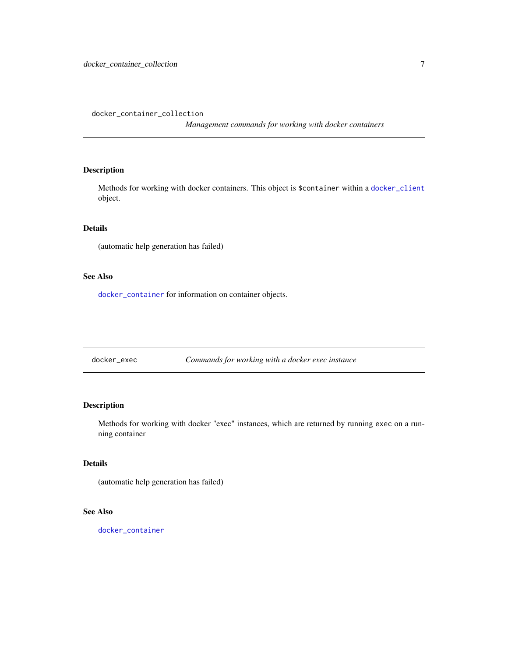<span id="page-6-1"></span><span id="page-6-0"></span>docker\_container\_collection

*Management commands for working with docker containers*

#### Description

Methods for working with docker containers. This object is \$container within a [docker\\_client](#page-2-1) object.

## Details

(automatic help generation has failed)

## See Also

[docker\\_container](#page-5-1) for information on container objects.

docker\_exec *Commands for working with a docker exec instance*

## Description

Methods for working with docker "exec" instances, which are returned by running exec on a running container

## Details

(automatic help generation has failed)

## See Also

[docker\\_container](#page-5-1)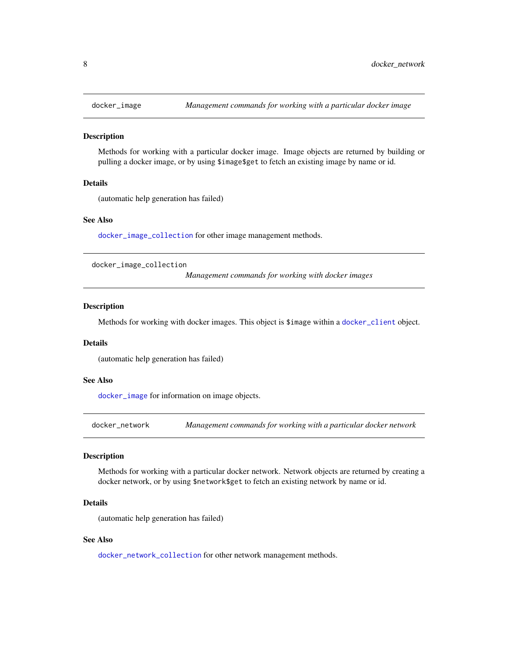<span id="page-7-2"></span><span id="page-7-0"></span>

#### **Description**

Methods for working with a particular docker image. Image objects are returned by building or pulling a docker image, or by using \$image\$get to fetch an existing image by name or id.

## Details

(automatic help generation has failed)

#### See Also

[docker\\_image\\_collection](#page-7-1) for other image management methods.

<span id="page-7-1"></span>docker\_image\_collection

*Management commands for working with docker images*

#### **Description**

Methods for working with docker images. This object is \$image within a [docker\\_client](#page-2-1) object.

#### Details

(automatic help generation has failed)

#### See Also

[docker\\_image](#page-7-2) for information on image objects.

<span id="page-7-3"></span>docker\_network *Management commands for working with a particular docker network*

## Description

Methods for working with a particular docker network. Network objects are returned by creating a docker network, or by using \$network\$get to fetch an existing network by name or id.

#### Details

(automatic help generation has failed)

#### See Also

[docker\\_network\\_collection](#page-8-1) for other network management methods.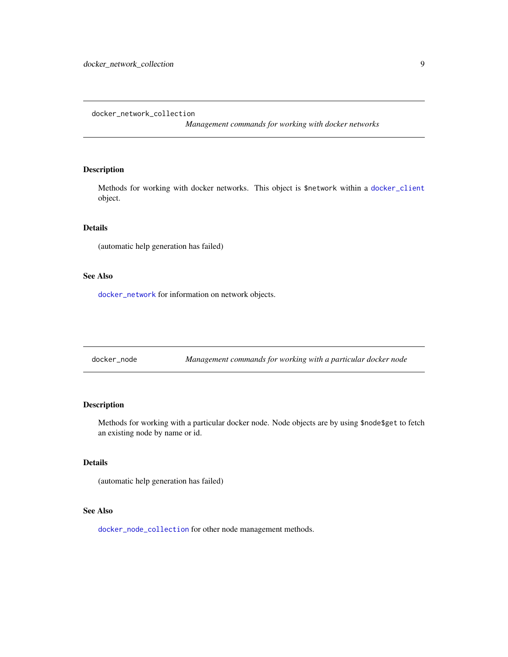<span id="page-8-1"></span><span id="page-8-0"></span>docker\_network\_collection

*Management commands for working with docker networks*

## Description

Methods for working with docker networks. This object is \$network within a [docker\\_client](#page-2-1) object.

## Details

(automatic help generation has failed)

#### See Also

[docker\\_network](#page-7-3) for information on network objects.

docker\_node *Management commands for working with a particular docker node*

#### Description

Methods for working with a particular docker node. Node objects are by using \$node\$get to fetch an existing node by name or id.

#### Details

(automatic help generation has failed)

## See Also

[docker\\_node\\_collection](#page-9-1) for other node management methods.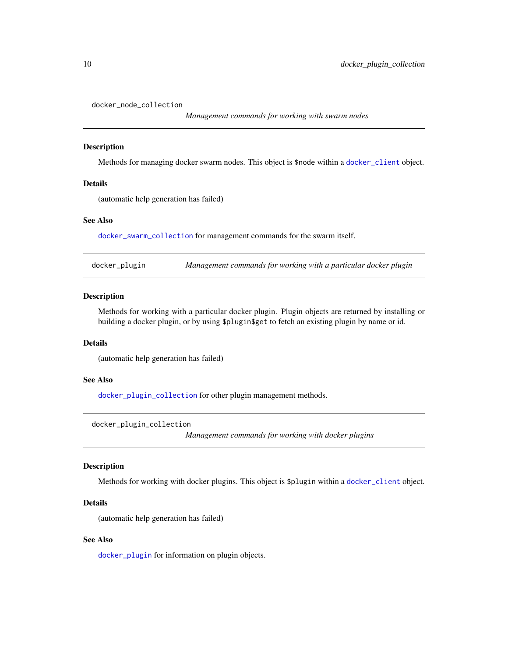<span id="page-9-1"></span><span id="page-9-0"></span>docker\_node\_collection

*Management commands for working with swarm nodes*

#### Description

Methods for managing docker swarm nodes. This object is \$node within a [docker\\_client](#page-2-1) object.

## Details

(automatic help generation has failed)

#### See Also

[docker\\_swarm\\_collection](#page-11-1) for management commands for the swarm itself.

<span id="page-9-3"></span>docker\_plugin *Management commands for working with a particular docker plugin*

#### Description

Methods for working with a particular docker plugin. Plugin objects are returned by installing or building a docker plugin, or by using \$plugin\$get to fetch an existing plugin by name or id.

#### Details

(automatic help generation has failed)

#### See Also

[docker\\_plugin\\_collection](#page-9-2) for other plugin management methods.

<span id="page-9-2"></span>docker\_plugin\_collection

*Management commands for working with docker plugins*

#### Description

Methods for working with docker plugins. This object is \$plugin within a [docker\\_client](#page-2-1) object.

#### Details

(automatic help generation has failed)

#### See Also

[docker\\_plugin](#page-9-3) for information on plugin objects.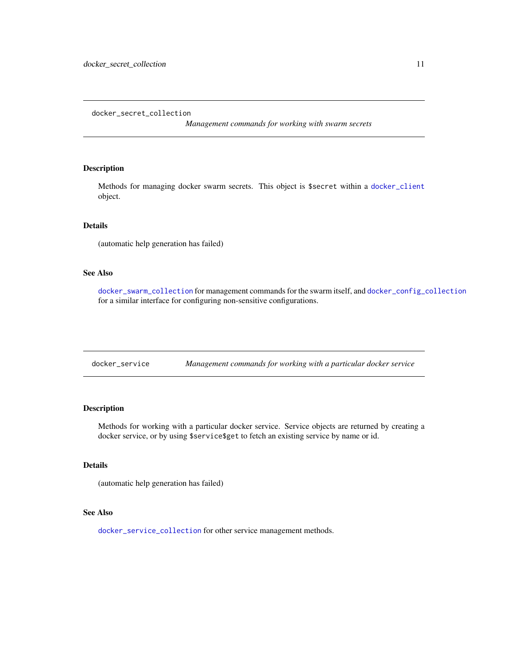*Management commands for working with swarm secrets*

## <span id="page-10-1"></span><span id="page-10-0"></span>Description

Methods for managing docker swarm secrets. This object is \$secret within a [docker\\_client](#page-2-1) object.

## Details

(automatic help generation has failed)

## See Also

[docker\\_swarm\\_collection](#page-11-1) for management commands for the swarm itself, and [docker\\_config\\_collection](#page-5-2) for a similar interface for configuring non-sensitive configurations.

<span id="page-10-2"></span>docker\_service *Management commands for working with a particular docker service*

## Description

Methods for working with a particular docker service. Service objects are returned by creating a docker service, or by using \$service\$get to fetch an existing service by name or id.

## Details

(automatic help generation has failed)

## See Also

[docker\\_service\\_collection](#page-11-2) for other service management methods.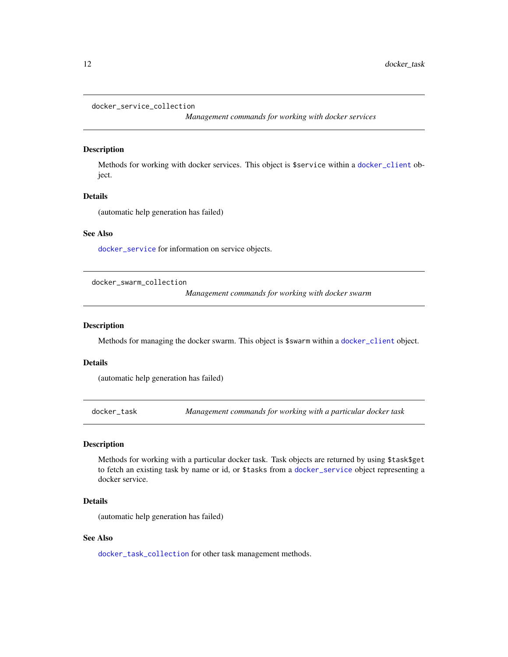#### <span id="page-11-2"></span><span id="page-11-0"></span>docker\_service\_collection

*Management commands for working with docker services*

## Description

Methods for working with docker services. This object is \$service within a [docker\\_client](#page-2-1) object.

## Details

(automatic help generation has failed)

#### See Also

[docker\\_service](#page-10-2) for information on service objects.

<span id="page-11-1"></span>docker\_swarm\_collection

*Management commands for working with docker swarm*

#### Description

Methods for managing the docker swarm. This object is \$swarm within a [docker\\_client](#page-2-1) object.

#### Details

(automatic help generation has failed)

<span id="page-11-3"></span>docker\_task *Management commands for working with a particular docker task*

## Description

Methods for working with a particular docker task. Task objects are returned by using \$task\$get to fetch an existing task by name or id, or \$tasks from a [docker\\_service](#page-10-2) object representing a docker service.

#### Details

(automatic help generation has failed)

#### See Also

[docker\\_task\\_collection](#page-12-1) for other task management methods.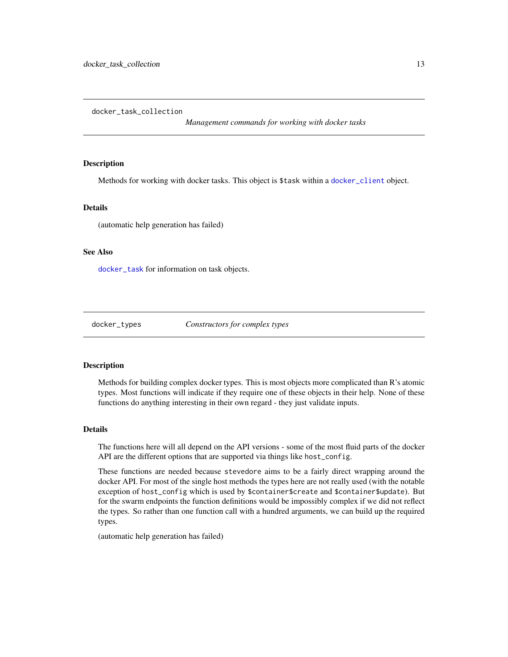<span id="page-12-1"></span><span id="page-12-0"></span>docker\_task\_collection

*Management commands for working with docker tasks*

## **Description**

Methods for working with docker tasks. This object is \$task within a [docker\\_client](#page-2-1) object.

#### Details

(automatic help generation has failed)

## See Also

[docker\\_task](#page-11-3) for information on task objects.

docker\_types *Constructors for complex types*

#### **Description**

Methods for building complex docker types. This is most objects more complicated than R's atomic types. Most functions will indicate if they require one of these objects in their help. None of these functions do anything interesting in their own regard - they just validate inputs.

#### Details

The functions here will all depend on the API versions - some of the most fluid parts of the docker API are the different options that are supported via things like host\_config.

These functions are needed because stevedore aims to be a fairly direct wrapping around the docker API. For most of the single host methods the types here are not really used (with the notable exception of host\_config which is used by \$container\$create and \$container\$update). But for the swarm endpoints the function definitions would be impossibly complex if we did not reflect the types. So rather than one function call with a hundred arguments, we can build up the required types.

(automatic help generation has failed)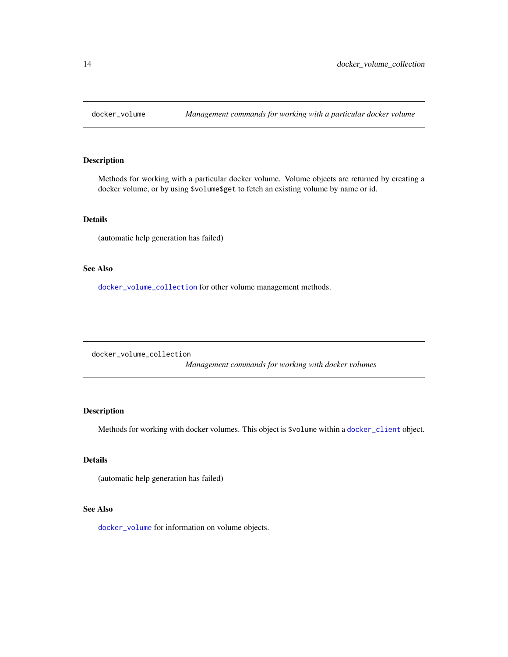<span id="page-13-2"></span><span id="page-13-0"></span>

## Description

Methods for working with a particular docker volume. Volume objects are returned by creating a docker volume, or by using \$volume\$get to fetch an existing volume by name or id.

## Details

(automatic help generation has failed)

## See Also

[docker\\_volume\\_collection](#page-13-1) for other volume management methods.

<span id="page-13-1"></span>docker\_volume\_collection

*Management commands for working with docker volumes*

## Description

Methods for working with docker volumes. This object is \$volume within a [docker\\_client](#page-2-1) object.

## Details

(automatic help generation has failed)

## See Also

[docker\\_volume](#page-13-2) for information on volume objects.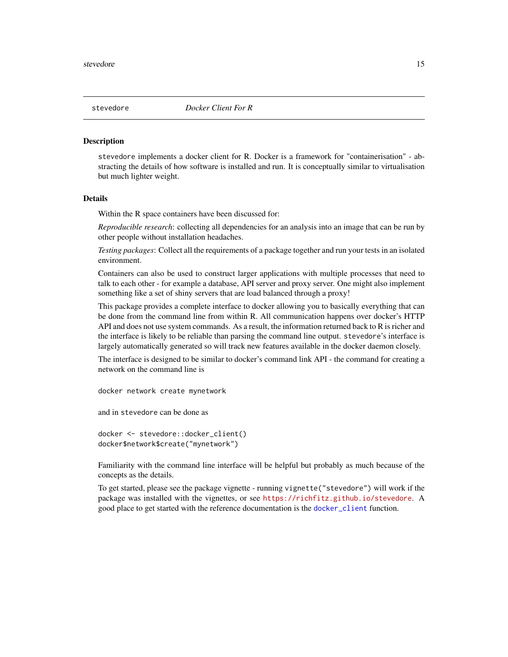<span id="page-14-0"></span>

#### Description

stevedore implements a docker client for R. Docker is a framework for "containerisation" - abstracting the details of how software is installed and run. It is conceptually similar to virtualisation but much lighter weight.

#### **Details**

Within the R space containers have been discussed for:

*Reproducible research*: collecting all dependencies for an analysis into an image that can be run by other people without installation headaches.

*Testing packages*: Collect all the requirements of a package together and run your tests in an isolated environment.

Containers can also be used to construct larger applications with multiple processes that need to talk to each other - for example a database, API server and proxy server. One might also implement something like a set of shiny servers that are load balanced through a proxy!

This package provides a complete interface to docker allowing you to basically everything that can be done from the command line from within R. All communication happens over docker's HTTP API and does not use system commands. As a result, the information returned back to R is richer and the interface is likely to be reliable than parsing the command line output. stevedore's interface is largely automatically generated so will track new features available in the docker daemon closely.

The interface is designed to be similar to docker's command link API - the command for creating a network on the command line is

docker network create mynetwork

and in stevedore can be done as

```
docker <- stevedore::docker_client()
docker$network$create("mynetwork")
```
Familiarity with the command line interface will be helpful but probably as much because of the concepts as the details.

To get started, please see the package vignette - running vignette("stevedore") will work if the package was installed with the vignettes, or see <https://richfitz.github.io/stevedore>. A good place to get started with the reference documentation is the [docker\\_client](#page-2-1) function.